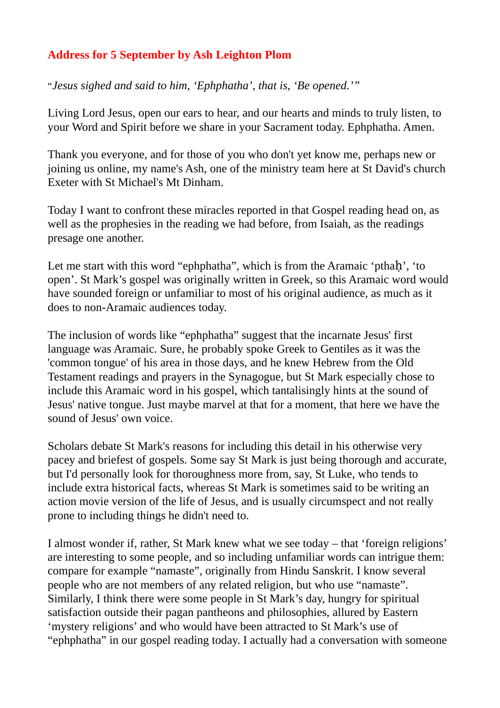## **Address for 5 September by Ash Leighton Plom**

"*Jesus sighed and said to him, 'Ephphatha', that is, 'Be opened.'"*

Living Lord Jesus, open our ears to hear, and our hearts and minds to truly listen, to your Word and Spirit before we share in your Sacrament today. Ephphatha. Amen.

Thank you everyone, and for those of you who don't yet know me, perhaps new or joining us online, my name's Ash, one of the ministry team here at St David's church Exeter with St Michael's Mt Dinham.

Today I want to confront these miracles reported in that Gospel reading head on, as well as the prophesies in the reading we had before, from Isaiah, as the readings presage one another.

Let me start with this word "ephphatha", which is from the Aramaic 'pthah', 'to open'. St Mark's gospel was originally written in Greek, so this Aramaic word would have sounded foreign or unfamiliar to most of his original audience, as much as it does to non-Aramaic audiences today.

The inclusion of words like "ephphatha" suggest that the incarnate Jesus' first language was Aramaic. Sure, he probably spoke Greek to Gentiles as it was the 'common tongue' of his area in those days, and he knew Hebrew from the Old Testament readings and prayers in the Synagogue, but St Mark especially chose to include this Aramaic word in his gospel, which tantalisingly hints at the sound of Jesus' native tongue. Just maybe marvel at that for a moment, that here we have the sound of Jesus' own voice.

Scholars debate St Mark's reasons for including this detail in his otherwise very pacey and briefest of gospels. Some say St Mark is just being thorough and accurate, but I'd personally look for thoroughness more from, say, St Luke, who tends to include extra historical facts, whereas St Mark is sometimes said to be writing an action movie version of the life of Jesus, and is usually circumspect and not really prone to including things he didn't need to.

I almost wonder if, rather, St Mark knew what we see today – that 'foreign religions' are interesting to some people, and so including unfamiliar words can intrigue them: compare for example "namaste", originally from Hindu Sanskrit. I know several people who are not members of any related religion, but who use "namaste". Similarly, I think there were some people in St Mark's day, hungry for spiritual satisfaction outside their pagan pantheons and philosophies, allured by Eastern 'mystery religions' and who would have been attracted to St Mark's use of "ephphatha" in our gospel reading today. I actually had a conversation with someone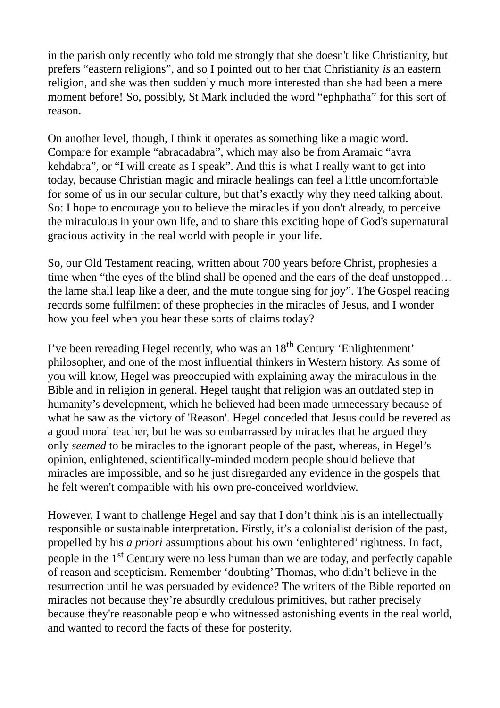in the parish only recently who told me strongly that she doesn't like Christianity, but prefers "eastern religions", and so I pointed out to her that Christianity *is* an eastern religion, and she was then suddenly much more interested than she had been a mere moment before! So, possibly, St Mark included the word "ephphatha" for this sort of reason.

On another level, though, I think it operates as something like a magic word. Compare for example "abracadabra", which may also be from Aramaic "avra kehdabra", or "I will create as I speak". And this is what I really want to get into today, because Christian magic and miracle healings can feel a little uncomfortable for some of us in our secular culture, but that's exactly why they need talking about. So: I hope to encourage you to believe the miracles if you don't already, to perceive the miraculous in your own life, and to share this exciting hope of God's supernatural gracious activity in the real world with people in your life.

So, our Old Testament reading, written about 700 years before Christ, prophesies a time when "the eyes of the blind shall be opened and the ears of the deaf unstopped… the lame shall leap like a deer, and the mute tongue sing for joy". The Gospel reading records some fulfilment of these prophecies in the miracles of Jesus, and I wonder how you feel when you hear these sorts of claims today?

I've been rereading Hegel recently, who was an  $18<sup>th</sup>$  Century 'Enlightenment' philosopher, and one of the most influential thinkers in Western history. As some of you will know, Hegel was preoccupied with explaining away the miraculous in the Bible and in religion in general. Hegel taught that religion was an outdated step in humanity's development, which he believed had been made unnecessary because of what he saw as the victory of 'Reason'. Hegel conceded that Jesus could be revered as a good moral teacher, but he was so embarrassed by miracles that he argued they only *seemed* to be miracles to the ignorant people of the past, whereas, in Hegel's opinion, enlightened, scientifically-minded modern people should believe that miracles are impossible, and so he just disregarded any evidence in the gospels that he felt weren't compatible with his own pre-conceived worldview.

However, I want to challenge Hegel and say that I don't think his is an intellectually responsible or sustainable interpretation. Firstly, it's a colonialist derision of the past, propelled by his *a priori* assumptions about his own 'enlightened' rightness. In fact, people in the 1<sup>st</sup> Century were no less human than we are today, and perfectly capable of reason and scepticism. Remember 'doubting' Thomas, who didn't believe in the resurrection until he was persuaded by evidence? The writers of the Bible reported on miracles not because they're absurdly credulous primitives, but rather precisely because they're reasonable people who witnessed astonishing events in the real world, and wanted to record the facts of these for posterity.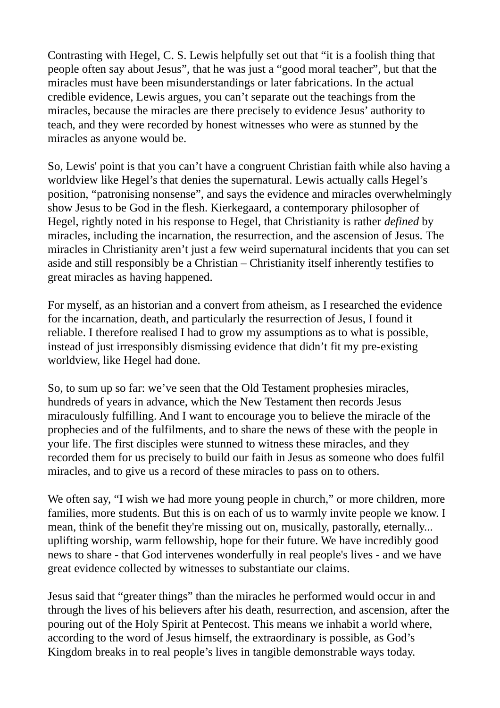Contrasting with Hegel, C. S. Lewis helpfully set out that "it is a foolish thing that people often say about Jesus", that he was just a "good moral teacher", but that the miracles must have been misunderstandings or later fabrications. In the actual credible evidence, Lewis argues, you can't separate out the teachings from the miracles, because the miracles are there precisely to evidence Jesus' authority to teach, and they were recorded by honest witnesses who were as stunned by the miracles as anyone would be.

So, Lewis' point is that you can't have a congruent Christian faith while also having a worldview like Hegel's that denies the supernatural. Lewis actually calls Hegel's position, "patronising nonsense", and says the evidence and miracles overwhelmingly show Jesus to be God in the flesh. Kierkegaard, a contemporary philosopher of Hegel, rightly noted in his response to Hegel, that Christianity is rather *defined* by miracles, including the incarnation, the resurrection, and the ascension of Jesus. The miracles in Christianity aren't just a few weird supernatural incidents that you can set aside and still responsibly be a Christian – Christianity itself inherently testifies to great miracles as having happened.

For myself, as an historian and a convert from atheism, as I researched the evidence for the incarnation, death, and particularly the resurrection of Jesus, I found it reliable. I therefore realised I had to grow my assumptions as to what is possible, instead of just irresponsibly dismissing evidence that didn't fit my pre-existing worldview, like Hegel had done.

So, to sum up so far: we've seen that the Old Testament prophesies miracles, hundreds of years in advance, which the New Testament then records Jesus miraculously fulfilling. And I want to encourage you to believe the miracle of the prophecies and of the fulfilments, and to share the news of these with the people in your life. The first disciples were stunned to witness these miracles, and they recorded them for us precisely to build our faith in Jesus as someone who does fulfil miracles, and to give us a record of these miracles to pass on to others.

We often say, "I wish we had more young people in church," or more children, more families, more students. But this is on each of us to warmly invite people we know. I mean, think of the benefit they're missing out on, musically, pastorally, eternally... uplifting worship, warm fellowship, hope for their future. We have incredibly good news to share - that God intervenes wonderfully in real people's lives - and we have great evidence collected by witnesses to substantiate our claims.

Jesus said that "greater things" than the miracles he performed would occur in and through the lives of his believers after his death, resurrection, and ascension, after the pouring out of the Holy Spirit at Pentecost. This means we inhabit a world where, according to the word of Jesus himself, the extraordinary is possible, as God's Kingdom breaks in to real people's lives in tangible demonstrable ways today.